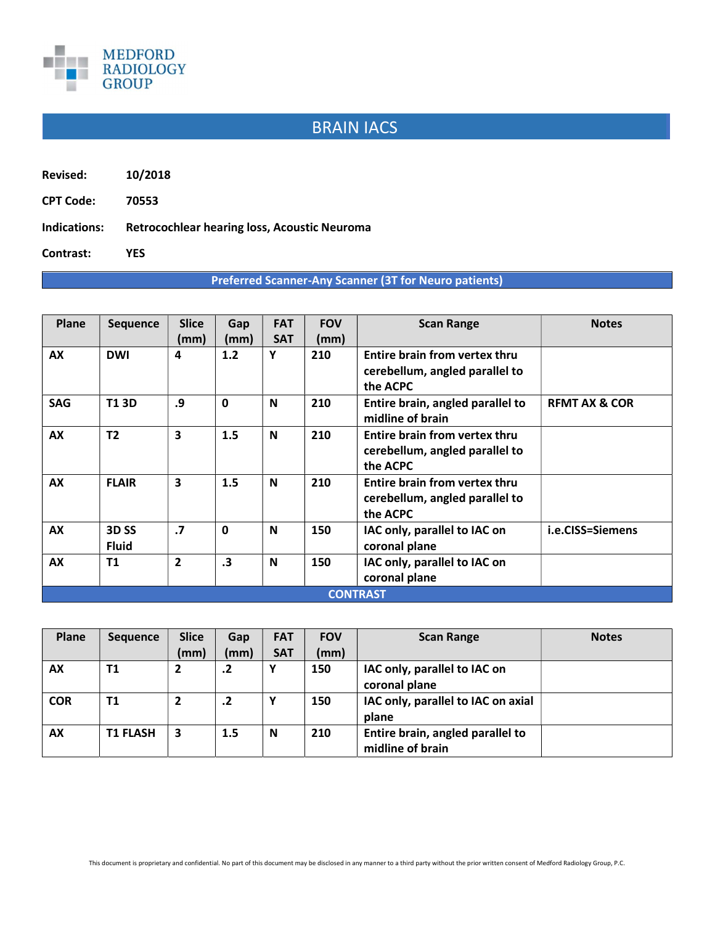

## BRAIN IACS

Revised: 10/2018

CPT Code: 70553

Indications: Retrocochlear hearing loss, Acoustic Neuroma

Contrast: YES

## Preferred Scanner-Any Scanner (3T for Neuro patients)

| Plane           | <b>Sequence</b>  | <b>Slice</b>   | Gap          | <b>FAT</b>  | <b>FOV</b> | <b>Scan Range</b>                                               | <b>Notes</b>             |  |  |
|-----------------|------------------|----------------|--------------|-------------|------------|-----------------------------------------------------------------|--------------------------|--|--|
|                 |                  | (mm)           | (mm)         | <b>SAT</b>  | (mm)       |                                                                 |                          |  |  |
| AX              | <b>DWI</b>       | 4              | 1.2          | Υ           | 210        | Entire brain from vertex thru                                   |                          |  |  |
|                 |                  |                |              |             |            | cerebellum, angled parallel to<br>the ACPC                      |                          |  |  |
| <b>SAG</b>      | <b>T13D</b>      | .9             | $\mathbf{0}$ | N           | 210        | Entire brain, angled parallel to<br>midline of brain            | <b>REMT AX &amp; COR</b> |  |  |
| AX              | T <sub>2</sub>   | 3              | 1.5          | N           | 210        | Entire brain from vertex thru<br>cerebellum, angled parallel to |                          |  |  |
|                 |                  |                |              |             |            | the ACPC                                                        |                          |  |  |
| <b>AX</b>       | <b>FLAIR</b>     | 3              | 1.5          | $\mathbf N$ | 210        | <b>Entire brain from vertex thru</b>                            |                          |  |  |
|                 |                  |                |              |             |            | cerebellum, angled parallel to                                  |                          |  |  |
|                 |                  |                |              |             |            | the ACPC                                                        |                          |  |  |
| AX              | 3D <sub>SS</sub> | $\cdot$        | $\mathbf{0}$ | N           | 150        | IAC only, parallel to IAC on                                    | i.e.CISS=Siemens         |  |  |
|                 | <b>Fluid</b>     |                |              |             |            | coronal plane                                                   |                          |  |  |
| <b>AX</b>       | <b>T1</b>        | $\overline{2}$ | $\cdot$ 3    | N           | 150        | IAC only, parallel to IAC on<br>coronal plane                   |                          |  |  |
| <b>CONTRAST</b> |                  |                |              |             |            |                                                                 |                          |  |  |

| Plane      | <b>Sequence</b> | <b>Slice</b>   | Gap        | <b>FAT</b> | <b>FOV</b> | <b>Scan Range</b>                                    | <b>Notes</b> |
|------------|-----------------|----------------|------------|------------|------------|------------------------------------------------------|--------------|
|            |                 | (mm)           | (mm)       | <b>SAT</b> | (mm)       |                                                      |              |
| AX         | T1              | 2              | .2         |            | 150        | IAC only, parallel to IAC on<br>coronal plane        |              |
| <b>COR</b> | <b>T1</b>       | $\overline{2}$ | $\cdot$ .2 | v          | 150        | IAC only, parallel to IAC on axial<br>plane          |              |
| <b>AX</b>  | <b>T1 FLASH</b> | 3              | 1.5        | N          | 210        | Entire brain, angled parallel to<br>midline of brain |              |